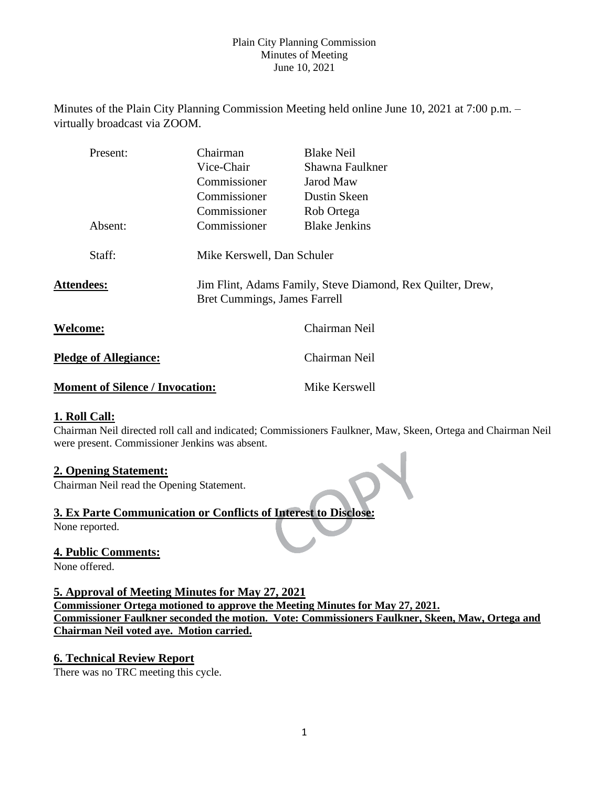Minutes of the Plain City Planning Commission Meeting held online June 10, 2021 at 7:00 p.m. – virtually broadcast via ZOOM.

| Present:                     | Chairman                     | <b>Blake Neil</b>                                          |
|------------------------------|------------------------------|------------------------------------------------------------|
|                              | Vice-Chair                   | Shawna Faulkner                                            |
|                              | Commissioner                 | Jarod Maw                                                  |
|                              | Commissioner                 | Dustin Skeen                                               |
|                              | Commissioner                 | Rob Ortega                                                 |
| Absent:                      | Commissioner                 | <b>Blake Jenkins</b>                                       |
| Staff:                       | Mike Kerswell, Dan Schuler   |                                                            |
| <b>Attendees:</b>            | Bret Cummings, James Farrell | Jim Flint, Adams Family, Steve Diamond, Rex Quilter, Drew, |
| <b>Welcome:</b>              |                              | Chairman Neil                                              |
| <b>Pledge of Allegiance:</b> |                              | Chairman Neil                                              |

#### **Moment of Silence / Invocation:** Mike Kerswell

## **1. Roll Call:**

Chairman Neil directed roll call and indicated; Commissioners Faulkner, Maw, Skeen, Ortega and Chairman Neil were present. Commissioner Jenkins was absent.

## **2. Opening Statement:**

Chairman Neil read the Opening Statement.

# **3. Ex Parte Communication or Conflicts of Interest to Disclose:**

None reported.

## **4. Public Comments:**

None offered.

# **5. Approval of Meeting Minutes for May 27, 2021**

**Commissioner Ortega motioned to approve the Meeting Minutes for May 27, 2021. Commissioner Faulkner seconded the motion. Vote: Commissioners Faulkner, Skeen, Maw, Ortega and Chairman Neil voted aye. Motion carried.**

## **6. Technical Review Report**

There was no TRC meeting this cycle.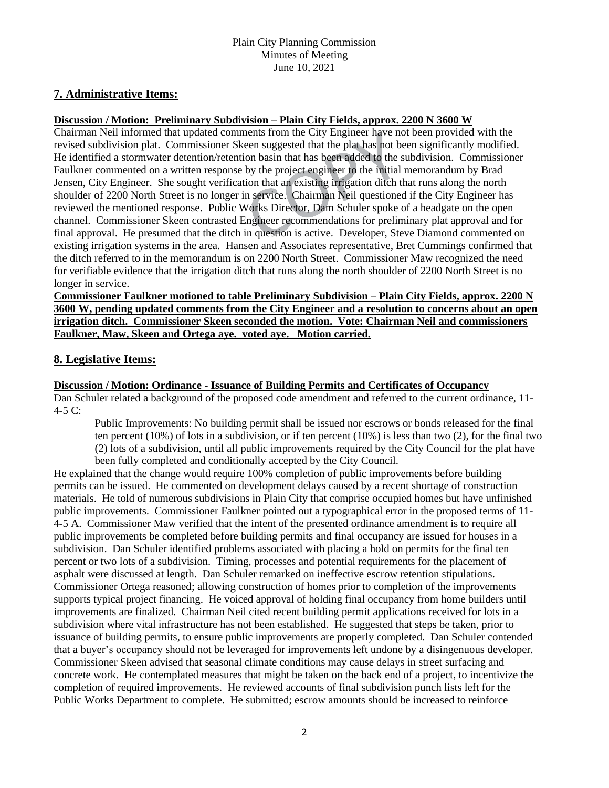# **7. Administrative Items:**

# **Discussion / Motion: Preliminary Subdivision – Plain City Fields, approx. 2200 N 3600 W**

Chairman Neil informed that updated comments from the City Engineer have not been provided with the revised subdivision plat. Commissioner Skeen suggested that the plat has not been significantly modified. He identified a stormwater detention/retention basin that has been added to the subdivision. Commissioner Faulkner commented on a written response by the project engineer to the initial memorandum by Brad Jensen, City Engineer. She sought verification that an existing irrigation ditch that runs along the north shoulder of 2200 North Street is no longer in service. Chairman Neil questioned if the City Engineer has reviewed the mentioned response. Public Works Director, Dam Schuler spoke of a headgate on the open channel. Commissioner Skeen contrasted Engineer recommendations for preliminary plat approval and for final approval. He presumed that the ditch in question is active. Developer, Steve Diamond commented on existing irrigation systems in the area. Hansen and Associates representative, Bret Cummings confirmed that the ditch referred to in the memorandum is on 2200 North Street. Commissioner Maw recognized the need for verifiable evidence that the irrigation ditch that runs along the north shoulder of 2200 North Street is no longer in service.

**Commissioner Faulkner motioned to table Preliminary Subdivision – Plain City Fields, approx. 2200 N 3600 W, pending updated comments from the City Engineer and a resolution to concerns about an open irrigation ditch. Commissioner Skeen seconded the motion. Vote: Chairman Neil and commissioners Faulkner, Maw, Skeen and Ortega aye. voted aye. Motion carried.** 

# **8. Legislative Items:**

## **Discussion / Motion: Ordinance - Issuance of Building Permits and Certificates of Occupancy**

Dan Schuler related a background of the proposed code amendment and referred to the current ordinance, 11-  $4-5C$ :

Public Improvements: No building permit shall be issued nor escrows or bonds released for the final ten percent (10%) of lots in a subdivision, or if ten percent (10%) is less than two (2), for the final two (2) lots of a subdivision, until all public improvements required by the City Council for the plat have been fully completed and conditionally accepted by the City Council.

He explained that the change would require 100% completion of public improvements before building permits can be issued. He commented on development delays caused by a recent shortage of construction materials. He told of numerous subdivisions in Plain City that comprise occupied homes but have unfinished public improvements. Commissioner Faulkner pointed out a typographical error in the proposed terms of 11- 4-5 A. Commissioner Maw verified that the intent of the presented ordinance amendment is to require all public improvements be completed before building permits and final occupancy are issued for houses in a subdivision. Dan Schuler identified problems associated with placing a hold on permits for the final ten percent or two lots of a subdivision. Timing, processes and potential requirements for the placement of asphalt were discussed at length. Dan Schuler remarked on ineffective escrow retention stipulations. Commissioner Ortega reasoned; allowing construction of homes prior to completion of the improvements supports typical project financing. He voiced approval of holding final occupancy from home builders until improvements are finalized. Chairman Neil cited recent building permit applications received for lots in a subdivision where vital infrastructure has not been established. He suggested that steps be taken, prior to issuance of building permits, to ensure public improvements are properly completed. Dan Schuler contended that a buyer's occupancy should not be leveraged for improvements left undone by a disingenuous developer. Commissioner Skeen advised that seasonal climate conditions may cause delays in street surfacing and concrete work. He contemplated measures that might be taken on the back end of a project, to incentivize the completion of required improvements. He reviewed accounts of final subdivision punch lists left for the Public Works Department to complete. He submitted; escrow amounts should be increased to reinforce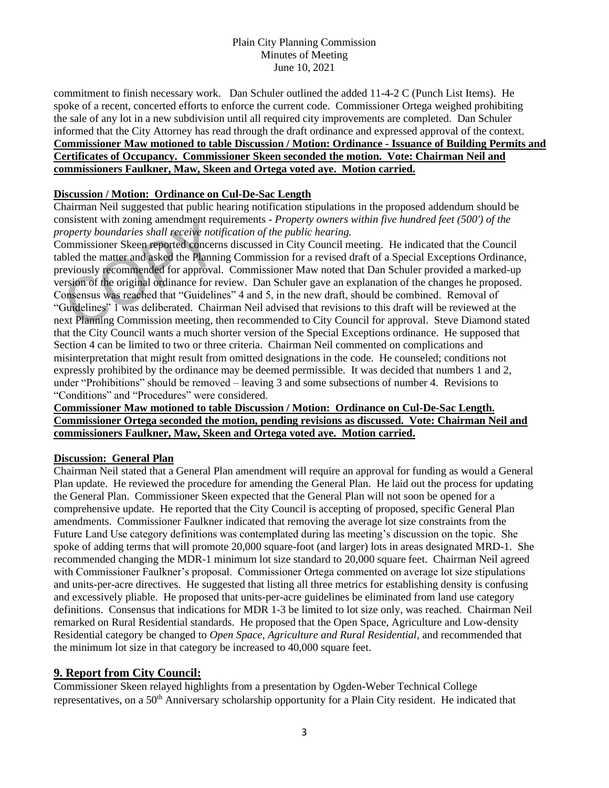commitment to finish necessary work. Dan Schuler outlined the added 11-4-2 C (Punch List Items). He spoke of a recent, concerted efforts to enforce the current code. Commissioner Ortega weighed prohibiting the sale of any lot in a new subdivision until all required city improvements are completed. Dan Schuler informed that the City Attorney has read through the draft ordinance and expressed approval of the context. **Commissioner Maw motioned to table Discussion / Motion: Ordinance - Issuance of Building Permits and Certificates of Occupancy. Commissioner Skeen seconded the motion. Vote: Chairman Neil and commissioners Faulkner, Maw, Skeen and Ortega voted aye. Motion carried.** 

# **Discussion / Motion: Ordinance on Cul-De-Sac Length**

Chairman Neil suggested that public hearing notification stipulations in the proposed addendum should be consistent with zoning amendment requirements - *Property owners within five hundred feet (500') of the property boundaries shall receive notification of the public hearing.* 

Commissioner Skeen reported concerns discussed in City Council meeting. He indicated that the Council tabled the matter and asked the Planning Commission for a revised draft of a Special Exceptions Ordinance, previously recommended for approval. Commissioner Maw noted that Dan Schuler provided a marked-up version of the original ordinance for review. Dan Schuler gave an explanation of the changes he proposed. Consensus was reached that "Guidelines" 4 and 5, in the new draft, should be combined. Removal of "Guidelines" 1 was deliberated. Chairman Neil advised that revisions to this draft will be reviewed at the next Planning Commission meeting, then recommended to City Council for approval. Steve Diamond stated that the City Council wants a much shorter version of the Special Exceptions ordinance. He supposed that Section 4 can be limited to two or three criteria. Chairman Neil commented on complications and misinterpretation that might result from omitted designations in the code. He counseled; conditions not expressly prohibited by the ordinance may be deemed permissible. It was decided that numbers 1 and 2, under "Prohibitions" should be removed – leaving 3 and some subsections of number 4. Revisions to "Conditions" and "Procedures" were considered.

## **Commissioner Maw motioned to table Discussion / Motion: Ordinance on Cul-De-Sac Length. Commissioner Ortega seconded the motion, pending revisions as discussed. Vote: Chairman Neil and commissioners Faulkner, Maw, Skeen and Ortega voted aye. Motion carried.**

## **Discussion: General Plan**

Chairman Neil stated that a General Plan amendment will require an approval for funding as would a General Plan update. He reviewed the procedure for amending the General Plan. He laid out the process for updating the General Plan. Commissioner Skeen expected that the General Plan will not soon be opened for a comprehensive update. He reported that the City Council is accepting of proposed, specific General Plan amendments. Commissioner Faulkner indicated that removing the average lot size constraints from the Future Land Use category definitions was contemplated during las meeting's discussion on the topic. She spoke of adding terms that will promote 20,000 square-foot (and larger) lots in areas designated MRD-1. She recommended changing the MDR-1 minimum lot size standard to 20,000 square feet. Chairman Neil agreed with Commissioner Faulkner's proposal. Commissioner Ortega commented on average lot size stipulations and units-per-acre directives. He suggested that listing all three metrics for establishing density is confusing and excessively pliable. He proposed that units-per-acre guidelines be eliminated from land use category definitions. Consensus that indications for MDR 1-3 be limited to lot size only, was reached. Chairman Neil remarked on Rural Residential standards. He proposed that the Open Space, Agriculture and Low-density Residential category be changed to *Open Space, Agriculture and Rural Residential,* and recommended that the minimum lot size in that category be increased to 40,000 square feet.

# **9. Report from City Council:**

Commissioner Skeen relayed highlights from a presentation by Ogden-Weber Technical College representatives, on a 50<sup>th</sup> Anniversary scholarship opportunity for a Plain City resident. He indicated that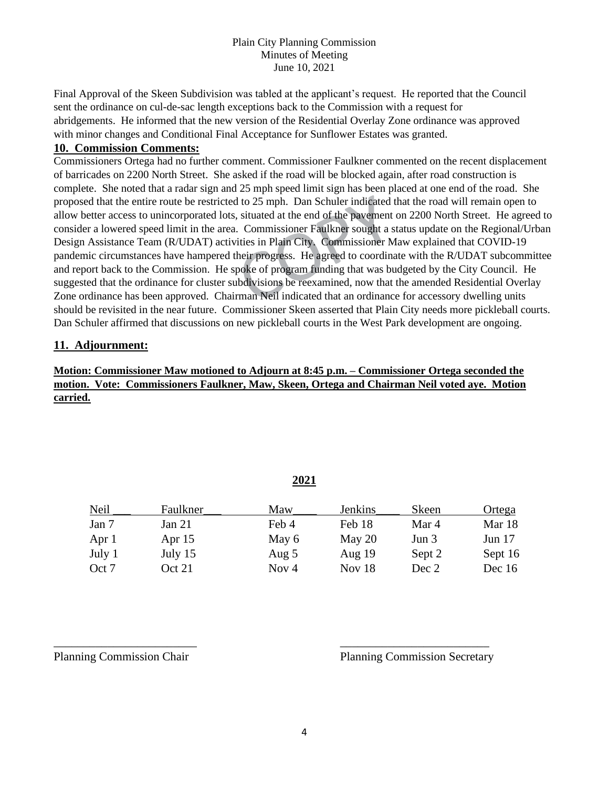Final Approval of the Skeen Subdivision was tabled at the applicant's request. He reported that the Council sent the ordinance on cul-de-sac length exceptions back to the Commission with a request for abridgements. He informed that the new version of the Residential Overlay Zone ordinance was approved with minor changes and Conditional Final Acceptance for Sunflower Estates was granted.

# **10. Commission Comments:**

Commissioners Ortega had no further comment. Commissioner Faulkner commented on the recent displacement of barricades on 2200 North Street. She asked if the road will be blocked again, after road construction is complete. She noted that a radar sign and 25 mph speed limit sign has been placed at one end of the road. She proposed that the entire route be restricted to 25 mph. Dan Schuler indicated that the road will remain open to allow better access to unincorporated lots, situated at the end of the pavement on 2200 North Street. He agreed to consider a lowered speed limit in the area. Commissioner Faulkner sought a status update on the Regional/Urban Design Assistance Team (R/UDAT) activities in Plain City. Commissioner Maw explained that COVID-19 pandemic circumstances have hampered their progress. He agreed to coordinate with the R/UDAT subcommittee and report back to the Commission. He spoke of program funding that was budgeted by the City Council. He suggested that the ordinance for cluster subdivisions be reexamined, now that the amended Residential Overlay Zone ordinance has been approved. Chairman Neil indicated that an ordinance for accessory dwelling units should be revisited in the near future. Commissioner Skeen asserted that Plain City needs more pickleball courts. Dan Schuler affirmed that discussions on new pickleball courts in the West Park development are ongoing.

# **11. Adjournment:**

# **Motion: Commissioner Maw motioned to Adjourn at 8:45 p.m. – Commissioner Ortega seconded the motion. Vote: Commissioners Faulkner, Maw, Skeen, Ortega and Chairman Neil voted aye. Motion carried.**

|--|

| Neil   | Faulkner | Maw     | <b>Jenkins</b> | <b>Skeen</b> | Ortega   |
|--------|----------|---------|----------------|--------------|----------|
| Jan 7  | Jan 21   | Feb 4   | Feb 18         | Mar 4        | Mar 18   |
| Apr 1  | Apr $15$ | May 6   | May $20$       | Jun 3        | Jun $17$ |
| July 1 | July 15  | Aug $5$ | Aug $19$       | Sept 2       | Sept 16  |
| Oct 7  | Oct 21   | Nov 4   | Nov $18$       | Dec 2        | Dec $16$ |

Planning Commission Chair Planning Commission Secretary

\_\_\_\_\_\_\_\_\_\_\_\_\_\_\_\_\_\_\_\_\_\_\_\_ \_\_\_\_\_\_\_\_\_\_\_\_\_\_\_\_\_\_\_\_\_\_\_\_\_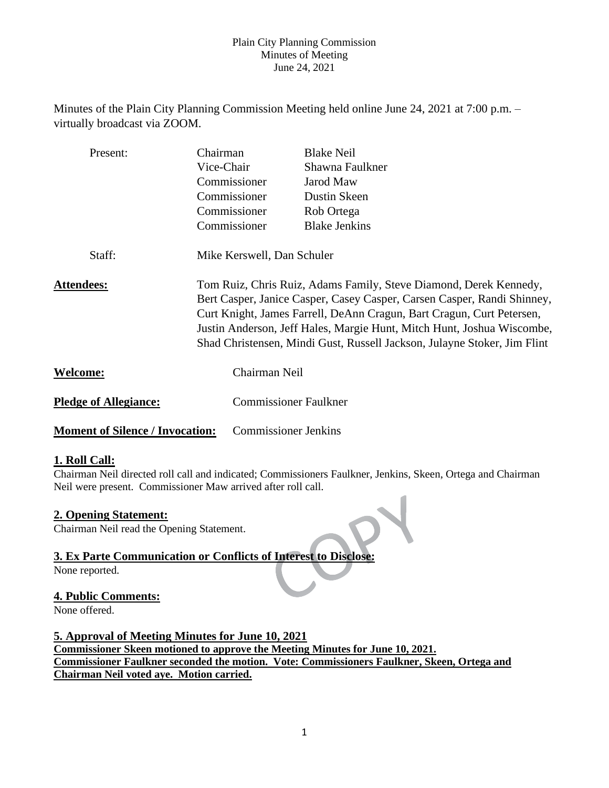Minutes of the Plain City Planning Commission Meeting held online June 24, 2021 at 7:00 p.m. – virtually broadcast via ZOOM.

| Present:                               | Chairman      | <b>Blake Neil</b>                                                                                                                                                                                                                                                                                                                                                           |  |  |  |
|----------------------------------------|---------------|-----------------------------------------------------------------------------------------------------------------------------------------------------------------------------------------------------------------------------------------------------------------------------------------------------------------------------------------------------------------------------|--|--|--|
|                                        | Vice-Chair    | Shawna Faulkner                                                                                                                                                                                                                                                                                                                                                             |  |  |  |
|                                        | Commissioner  | Jarod Maw                                                                                                                                                                                                                                                                                                                                                                   |  |  |  |
|                                        | Commissioner  | Dustin Skeen                                                                                                                                                                                                                                                                                                                                                                |  |  |  |
|                                        | Commissioner  | Rob Ortega                                                                                                                                                                                                                                                                                                                                                                  |  |  |  |
|                                        | Commissioner  | <b>Blake Jenkins</b>                                                                                                                                                                                                                                                                                                                                                        |  |  |  |
| Staff:                                 |               | Mike Kerswell, Dan Schuler                                                                                                                                                                                                                                                                                                                                                  |  |  |  |
| <b>Attendees:</b>                      |               | Tom Ruiz, Chris Ruiz, Adams Family, Steve Diamond, Derek Kennedy,<br>Bert Casper, Janice Casper, Casey Casper, Carsen Casper, Randi Shinney,<br>Curt Knight, James Farrell, DeAnn Cragun, Bart Cragun, Curt Petersen,<br>Justin Anderson, Jeff Hales, Margie Hunt, Mitch Hunt, Joshua Wiscombe,<br>Shad Christensen, Mindi Gust, Russell Jackson, Julayne Stoker, Jim Flint |  |  |  |
| <b>Welcome:</b>                        | Chairman Neil |                                                                                                                                                                                                                                                                                                                                                                             |  |  |  |
| <b>Pledge of Allegiance:</b>           |               | <b>Commissioner Faulkner</b>                                                                                                                                                                                                                                                                                                                                                |  |  |  |
| <b>Moment of Silence / Invocation:</b> |               | <b>Commissioner Jenkins</b>                                                                                                                                                                                                                                                                                                                                                 |  |  |  |

# **1. Roll Call:**

Chairman Neil directed roll call and indicated; Commissioners Faulkner, Jenkins, Skeen, Ortega and Chairman Neil were present. Commissioner Maw arrived after roll call.

# **2. Opening Statement:**

Chairman Neil read the Opening Statement.

# **3. Ex Parte Communication or Conflicts of Interest to Disclose:**

None reported.

# **4. Public Comments:**

None offered.

**5. Approval of Meeting Minutes for June 10, 2021 Commissioner Skeen motioned to approve the Meeting Minutes for June 10, 2021. Commissioner Faulkner seconded the motion. Vote: Commissioners Faulkner, Skeen, Ortega and Chairman Neil voted aye. Motion carried.**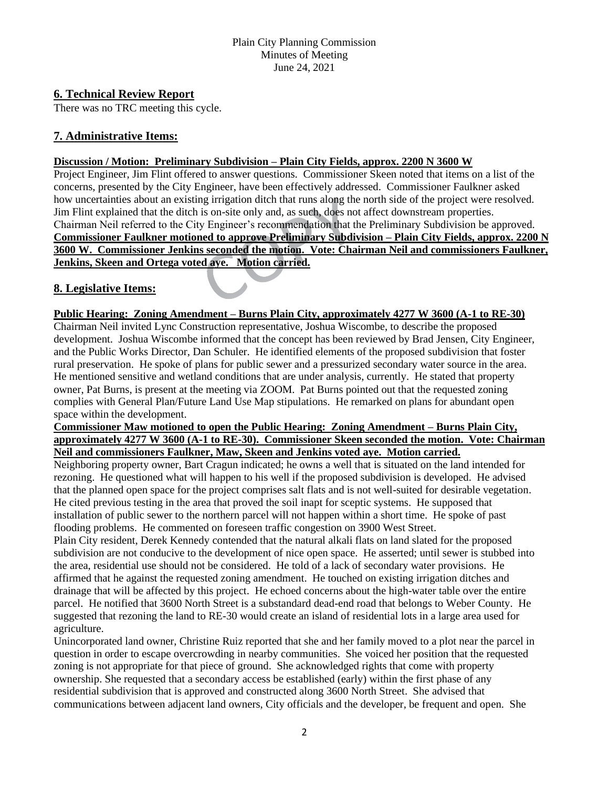# **6. Technical Review Report**

There was no TRC meeting this cycle.

# **7. Administrative Items:**

## **Discussion / Motion: Preliminary Subdivision – Plain City Fields, approx. 2200 N 3600 W**

Project Engineer, Jim Flint offered to answer questions. Commissioner Skeen noted that items on a list of the concerns, presented by the City Engineer, have been effectively addressed. Commissioner Faulkner asked how uncertainties about an existing irrigation ditch that runs along the north side of the project were resolved. Jim Flint explained that the ditch is on-site only and, as such, does not affect downstream properties. Chairman Neil referred to the City Engineer's recommendation that the Preliminary Subdivision be approved. **Commissioner Faulkner motioned to approve Preliminary Subdivision – Plain City Fields, approx. 2200 N 3600 W. Commissioner Jenkins seconded the motion. Vote: Chairman Neil and commissioners Faulkner, Jenkins, Skeen and Ortega voted aye. Motion carried.** 

# **8. Legislative Items:**

# **Public Hearing: Zoning Amendment – Burns Plain City, approximately 4277 W 3600 (A-1 to RE-30)**

Chairman Neil invited Lync Construction representative, Joshua Wiscombe, to describe the proposed development. Joshua Wiscombe informed that the concept has been reviewed by Brad Jensen, City Engineer, and the Public Works Director, Dan Schuler. He identified elements of the proposed subdivision that foster rural preservation. He spoke of plans for public sewer and a pressurized secondary water source in the area. He mentioned sensitive and wetland conditions that are under analysis, currently. He stated that property owner, Pat Burns, is present at the meeting via ZOOM. Pat Burns pointed out that the requested zoning complies with General Plan/Future Land Use Map stipulations. He remarked on plans for abundant open space within the development.

#### **Commissioner Maw motioned to open the Public Hearing: Zoning Amendment – Burns Plain City, approximately 4277 W 3600 (A-1 to RE-30). Commissioner Skeen seconded the motion. Vote: Chairman Neil and commissioners Faulkner, Maw, Skeen and Jenkins voted aye. Motion carried.**

Neighboring property owner, Bart Cragun indicated; he owns a well that is situated on the land intended for rezoning. He questioned what will happen to his well if the proposed subdivision is developed. He advised that the planned open space for the project comprises salt flats and is not well-suited for desirable vegetation. He cited previous testing in the area that proved the soil inapt for sceptic systems. He supposed that installation of public sewer to the northern parcel will not happen within a short time. He spoke of past flooding problems. He commented on foreseen traffic congestion on 3900 West Street.

Plain City resident, Derek Kennedy contended that the natural alkali flats on land slated for the proposed subdivision are not conducive to the development of nice open space. He asserted; until sewer is stubbed into the area, residential use should not be considered. He told of a lack of secondary water provisions. He affirmed that he against the requested zoning amendment. He touched on existing irrigation ditches and drainage that will be affected by this project. He echoed concerns about the high-water table over the entire parcel. He notified that 3600 North Street is a substandard dead-end road that belongs to Weber County. He suggested that rezoning the land to RE-30 would create an island of residential lots in a large area used for agriculture.

Unincorporated land owner, Christine Ruiz reported that she and her family moved to a plot near the parcel in question in order to escape overcrowding in nearby communities. She voiced her position that the requested zoning is not appropriate for that piece of ground. She acknowledged rights that come with property ownership. She requested that a secondary access be established (early) within the first phase of any residential subdivision that is approved and constructed along 3600 North Street. She advised that communications between adjacent land owners, City officials and the developer, be frequent and open. She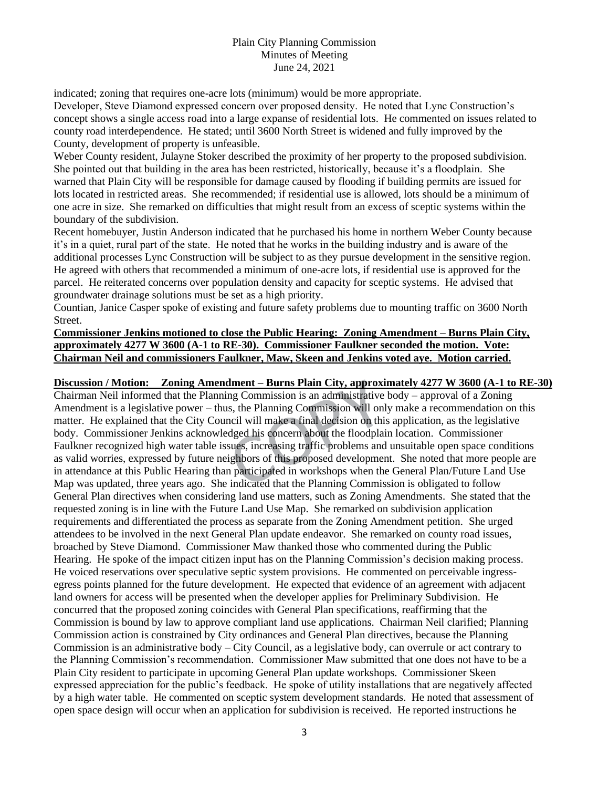indicated; zoning that requires one-acre lots (minimum) would be more appropriate.

Developer, Steve Diamond expressed concern over proposed density. He noted that Lync Construction's concept shows a single access road into a large expanse of residential lots. He commented on issues related to county road interdependence. He stated; until 3600 North Street is widened and fully improved by the County, development of property is unfeasible.

Weber County resident, Julayne Stoker described the proximity of her property to the proposed subdivision. She pointed out that building in the area has been restricted, historically, because it's a floodplain. She warned that Plain City will be responsible for damage caused by flooding if building permits are issued for lots located in restricted areas. She recommended; if residential use is allowed, lots should be a minimum of one acre in size. She remarked on difficulties that might result from an excess of sceptic systems within the boundary of the subdivision.

Recent homebuyer, Justin Anderson indicated that he purchased his home in northern Weber County because it's in a quiet, rural part of the state. He noted that he works in the building industry and is aware of the additional processes Lync Construction will be subject to as they pursue development in the sensitive region. He agreed with others that recommended a minimum of one-acre lots, if residential use is approved for the parcel. He reiterated concerns over population density and capacity for sceptic systems. He advised that groundwater drainage solutions must be set as a high priority.

Countian, Janice Casper spoke of existing and future safety problems due to mounting traffic on 3600 North Street.

## **Commissioner Jenkins motioned to close the Public Hearing: Zoning Amendment – Burns Plain City, approximately 4277 W 3600 (A-1 to RE-30). Commissioner Faulkner seconded the motion. Vote: Chairman Neil and commissioners Faulkner, Maw, Skeen and Jenkins voted aye. Motion carried.**

## **Discussion / Motion: Zoning Amendment – Burns Plain City, approximately 4277 W 3600 (A-1 to RE-30)**

Chairman Neil informed that the Planning Commission is an administrative body – approval of a Zoning Amendment is a legislative power – thus, the Planning Commission will only make a recommendation on this matter. He explained that the City Council will make a final decision on this application, as the legislative body. Commissioner Jenkins acknowledged his concern about the floodplain location. Commissioner Faulkner recognized high water table issues, increasing traffic problems and unsuitable open space conditions as valid worries, expressed by future neighbors of this proposed development. She noted that more people are in attendance at this Public Hearing than participated in workshops when the General Plan/Future Land Use Map was updated, three years ago. She indicated that the Planning Commission is obligated to follow General Plan directives when considering land use matters, such as Zoning Amendments. She stated that the requested zoning is in line with the Future Land Use Map. She remarked on subdivision application requirements and differentiated the process as separate from the Zoning Amendment petition. She urged attendees to be involved in the next General Plan update endeavor. She remarked on county road issues, broached by Steve Diamond. Commissioner Maw thanked those who commented during the Public Hearing. He spoke of the impact citizen input has on the Planning Commission's decision making process. He voiced reservations over speculative septic system provisions. He commented on perceivable ingressegress points planned for the future development. He expected that evidence of an agreement with adjacent land owners for access will be presented when the developer applies for Preliminary Subdivision. He concurred that the proposed zoning coincides with General Plan specifications, reaffirming that the Commission is bound by law to approve compliant land use applications. Chairman Neil clarified; Planning Commission action is constrained by City ordinances and General Plan directives, because the Planning Commission is an administrative body – City Council, as a legislative body, can overrule or act contrary to the Planning Commission's recommendation. Commissioner Maw submitted that one does not have to be a Plain City resident to participate in upcoming General Plan update workshops. Commissioner Skeen expressed appreciation for the public's feedback. He spoke of utility installations that are negatively affected by a high water table. He commented on sceptic system development standards. He noted that assessment of open space design will occur when an application for subdivision is received. He reported instructions he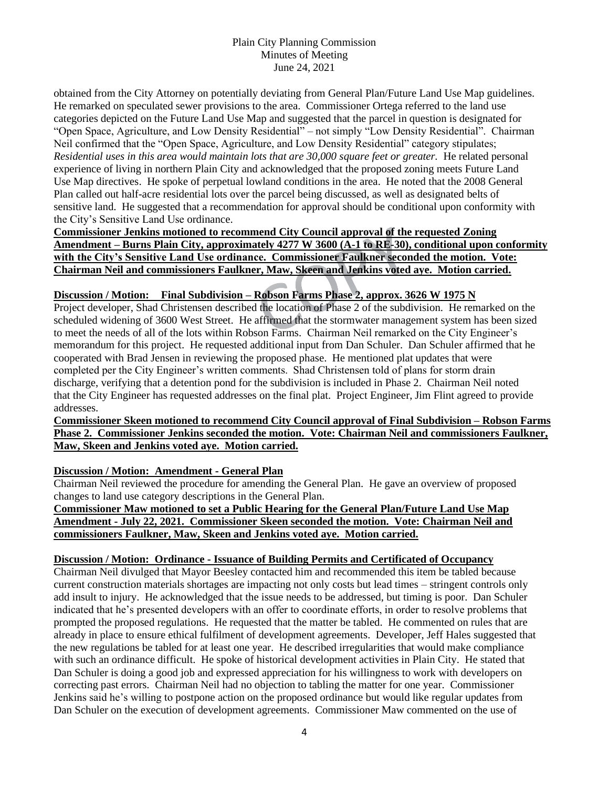obtained from the City Attorney on potentially deviating from General Plan/Future Land Use Map guidelines. He remarked on speculated sewer provisions to the area. Commissioner Ortega referred to the land use categories depicted on the Future Land Use Map and suggested that the parcel in question is designated for "Open Space, Agriculture, and Low Density Residential" – not simply "Low Density Residential". Chairman Neil confirmed that the "Open Space, Agriculture, and Low Density Residential" category stipulates; *Residential uses in this area would maintain lots that are 30,000 square feet or greater.* He related personal experience of living in northern Plain City and acknowledged that the proposed zoning meets Future Land Use Map directives. He spoke of perpetual lowland conditions in the area. He noted that the 2008 General Plan called out half-acre residential lots over the parcel being discussed, as well as designated belts of sensitive land. He suggested that a recommendation for approval should be conditional upon conformity with the City's Sensitive Land Use ordinance.

**Commissioner Jenkins motioned to recommend City Council approval of the requested Zoning Amendment – Burns Plain City, approximately 4277 W 3600 (A-1 to RE-30), conditional upon conformity with the City's Sensitive Land Use ordinance. Commissioner Faulkner seconded the motion. Vote: Chairman Neil and commissioners Faulkner, Maw, Skeen and Jenkins voted aye. Motion carried.** 

## **Discussion / Motion: Final Subdivision – Robson Farms Phase 2, approx. 3626 W 1975 N**

Project developer, Shad Christensen described the location of Phase 2 of the subdivision. He remarked on the scheduled widening of 3600 West Street. He affirmed that the stormwater management system has been sized to meet the needs of all of the lots within Robson Farms. Chairman Neil remarked on the City Engineer's memorandum for this project. He requested additional input from Dan Schuler. Dan Schuler affirmed that he cooperated with Brad Jensen in reviewing the proposed phase. He mentioned plat updates that were completed per the City Engineer's written comments. Shad Christensen told of plans for storm drain discharge, verifying that a detention pond for the subdivision is included in Phase 2. Chairman Neil noted that the City Engineer has requested addresses on the final plat. Project Engineer, Jim Flint agreed to provide addresses.

## **Commissioner Skeen motioned to recommend City Council approval of Final Subdivision – Robson Farms Phase 2. Commissioner Jenkins seconded the motion. Vote: Chairman Neil and commissioners Faulkner, Maw, Skeen and Jenkins voted aye. Motion carried.**

## **Discussion / Motion: Amendment - General Plan**

Chairman Neil reviewed the procedure for amending the General Plan. He gave an overview of proposed changes to land use category descriptions in the General Plan.

# **Commissioner Maw motioned to set a Public Hearing for the General Plan/Future Land Use Map Amendment - July 22, 2021. Commissioner Skeen seconded the motion. Vote: Chairman Neil and commissioners Faulkner, Maw, Skeen and Jenkins voted aye. Motion carried.**

#### **Discussion / Motion: Ordinance - Issuance of Building Permits and Certificated of Occupancy**

Chairman Neil divulged that Mayor Beesley contacted him and recommended this item be tabled because current construction materials shortages are impacting not only costs but lead times – stringent controls only add insult to injury. He acknowledged that the issue needs to be addressed, but timing is poor. Dan Schuler indicated that he's presented developers with an offer to coordinate efforts, in order to resolve problems that prompted the proposed regulations. He requested that the matter be tabled. He commented on rules that are already in place to ensure ethical fulfilment of development agreements. Developer, Jeff Hales suggested that the new regulations be tabled for at least one year. He described irregularities that would make compliance with such an ordinance difficult. He spoke of historical development activities in Plain City. He stated that Dan Schuler is doing a good job and expressed appreciation for his willingness to work with developers on correcting past errors. Chairman Neil had no objection to tabling the matter for one year. Commissioner Jenkins said he's willing to postpone action on the proposed ordinance but would like regular updates from Dan Schuler on the execution of development agreements. Commissioner Maw commented on the use of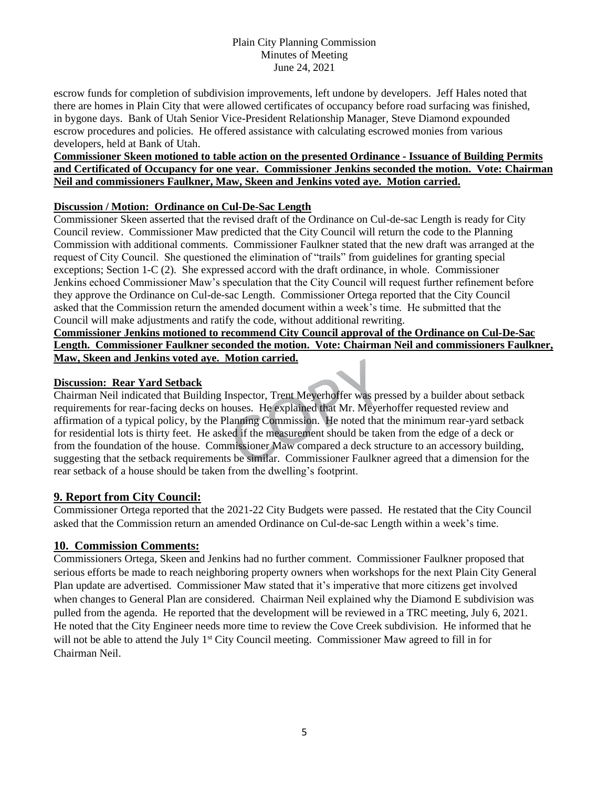escrow funds for completion of subdivision improvements, left undone by developers. Jeff Hales noted that there are homes in Plain City that were allowed certificates of occupancy before road surfacing was finished, in bygone days. Bank of Utah Senior Vice-President Relationship Manager, Steve Diamond expounded escrow procedures and policies. He offered assistance with calculating escrowed monies from various developers, held at Bank of Utah.

# **Commissioner Skeen motioned to table action on the presented Ordinance - Issuance of Building Permits and Certificated of Occupancy for one year. Commissioner Jenkins seconded the motion. Vote: Chairman Neil and commissioners Faulkner, Maw, Skeen and Jenkins voted aye. Motion carried.**

# **Discussion / Motion: Ordinance on Cul-De-Sac Length**

Commissioner Skeen asserted that the revised draft of the Ordinance on Cul-de-sac Length is ready for City Council review. Commissioner Maw predicted that the City Council will return the code to the Planning Commission with additional comments. Commissioner Faulkner stated that the new draft was arranged at the request of City Council. She questioned the elimination of "trails" from guidelines for granting special exceptions; Section 1-C (2). She expressed accord with the draft ordinance, in whole. Commissioner Jenkins echoed Commissioner Maw's speculation that the City Council will request further refinement before they approve the Ordinance on Cul-de-sac Length. Commissioner Ortega reported that the City Council asked that the Commission return the amended document within a week's time. He submitted that the Council will make adjustments and ratify the code, without additional rewriting.

**Commissioner Jenkins motioned to recommend City Council approval of the Ordinance on Cul-De-Sac Length. Commissioner Faulkner seconded the motion. Vote: Chairman Neil and commissioners Faulkner, Maw, Skeen and Jenkins voted aye. Motion carried.** 

# **Discussion: Rear Yard Setback**

Chairman Neil indicated that Building Inspector, Trent Meyerhoffer was pressed by a builder about setback requirements for rear-facing decks on houses. He explained that Mr. Meyerhoffer requested review and affirmation of a typical policy, by the Planning Commission. He noted that the minimum rear-yard setback for residential lots is thirty feet. He asked if the measurement should be taken from the edge of a deck or from the foundation of the house. Commissioner Maw compared a deck structure to an accessory building, suggesting that the setback requirements be similar. Commissioner Faulkner agreed that a dimension for the rear setback of a house should be taken from the dwelling's footprint.

# **9. Report from City Council:**

Commissioner Ortega reported that the 2021-22 City Budgets were passed. He restated that the City Council asked that the Commission return an amended Ordinance on Cul-de-sac Length within a week's time.

# **10. Commission Comments:**

Commissioners Ortega, Skeen and Jenkins had no further comment. Commissioner Faulkner proposed that serious efforts be made to reach neighboring property owners when workshops for the next Plain City General Plan update are advertised. Commissioner Maw stated that it's imperative that more citizens get involved when changes to General Plan are considered. Chairman Neil explained why the Diamond E subdivision was pulled from the agenda. He reported that the development will be reviewed in a TRC meeting, July 6, 2021. He noted that the City Engineer needs more time to review the Cove Creek subdivision. He informed that he will not be able to attend the July 1<sup>st</sup> City Council meeting. Commissioner Maw agreed to fill in for Chairman Neil.